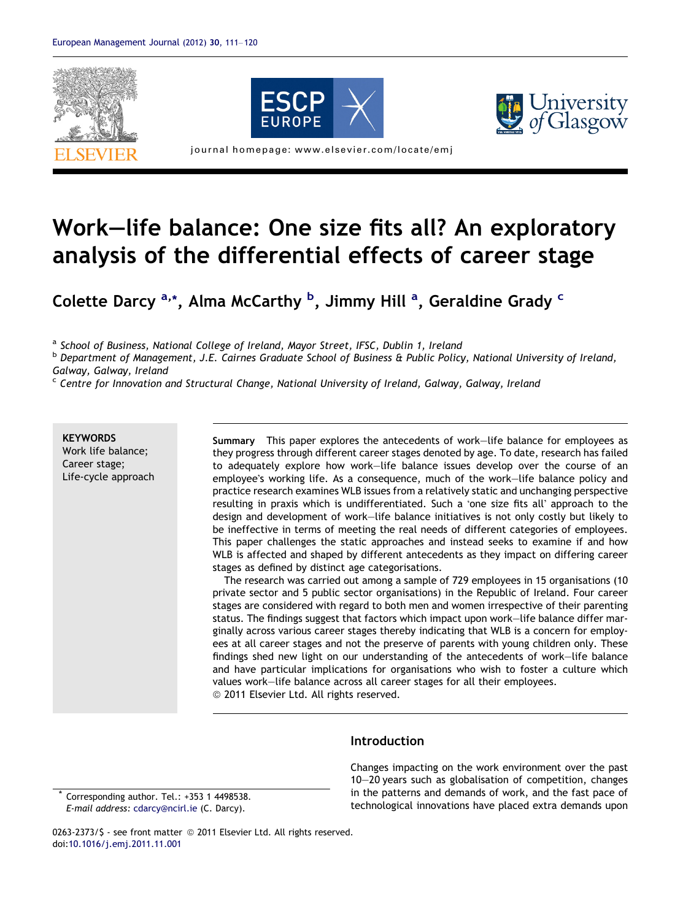





journal homepage: www.elsevier.com/locate/emj

## Work–life balance: One size fits all? An exploratory analysis of the differential effects of career stage

Colette Darcy <sup>a,</sup>\*, Alma McCarthy <sup>b</sup>, Jimmy Hill <sup>a</sup>, Geraldine Grady <sup>c</sup>

a School of Business, National College of Ireland, Mayor Street, IFSC, Dublin 1, Ireland

<sup>b</sup> Department of Management, J.E. Cairnes Graduate School of Business & Public Policy, National University of Ireland, Galway, Galway, Ireland

 $c$  Centre for Innovation and Structural Change, National University of Ireland, Galway, Galway, Ireland

**KEYWORDS** Work life balance; Career stage; Life-cycle approach

Summary This paper explores the antecedents of work–life balance for employees as they progress through different career stages denoted by age. To date, research has failed to adequately explore how work–life balance issues develop over the course of an employee's working life. As a consequence, much of the work–life balance policy and practice research examines WLB issues from a relatively static and unchanging perspective resulting in praxis which is undifferentiated. Such a 'one size fits all' approach to the design and development of work–life balance initiatives is not only costly but likely to be ineffective in terms of meeting the real needs of different categories of employees. This paper challenges the static approaches and instead seeks to examine if and how WLB is affected and shaped by different antecedents as they impact on differing career stages as defined by distinct age categorisations.

The research was carried out among a sample of 729 employees in 15 organisations (10 private sector and 5 public sector organisations) in the Republic of Ireland. Four career stages are considered with regard to both men and women irrespective of their parenting status. The findings suggest that factors which impact upon work–life balance differ marginally across various career stages thereby indicating that WLB is a concern for employees at all career stages and not the preserve of parents with young children only. These findings shed new light on our understanding of the antecedents of work–life balance and have particular implications for organisations who wish to foster a culture which values work–life balance across all career stages for all their employees. © 2011 Elsevier Ltd. All rights reserved.

**Introduction** 

Corresponding author. Tel.: +353 1 4498538. E-mail address: [cdarcy@ncirl.ie](mailto:cdarcy@ncirl.ie) (C. Darcy).

Changes impacting on the work environment over the past 10–20 years such as globalisation of competition, changes in the patterns and demands of work, and the fast pace of technological innovations have placed extra demands upon

0263-2373/\$ - see front matter © 2011 Elsevier Ltd. All rights reserved. doi[:10.1016/j.emj.2011.11.001](http://dx.doi.org/10.1016/j.emj.2011.11.001)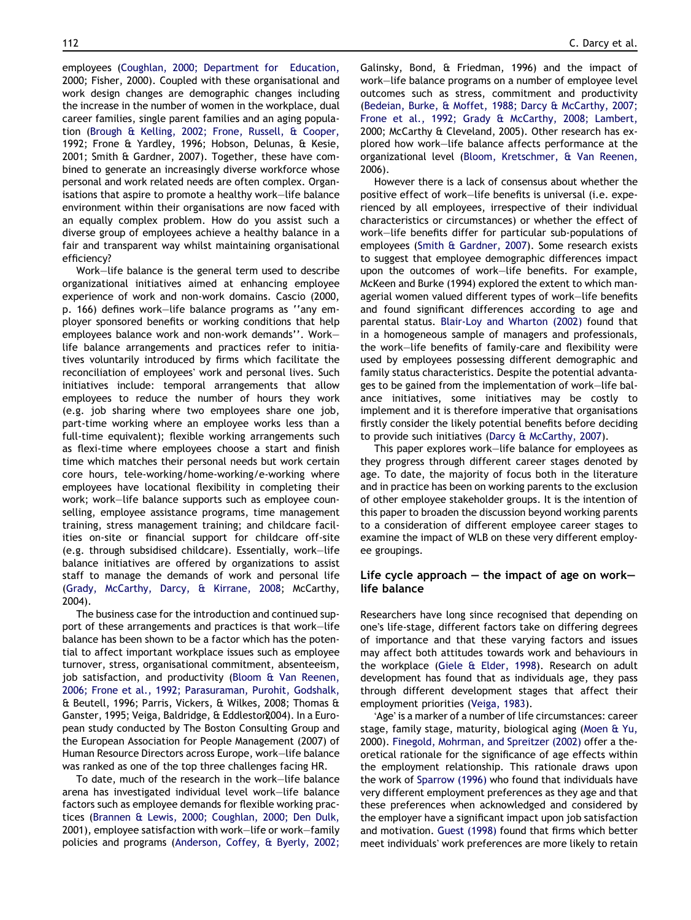employees [\(Coughlan, 2000; Department for Education,](#page--1-0) [2000; Fisher, 2000](#page--1-0)). Coupled with these organisational and work design changes are demographic changes including the increase in the number of women in the workplace, dual career families, single parent families and an aging population ([Brough & Kelling, 2002; Frone, Russell, & Cooper,](#page--1-0) [1992; Frone & Yardley, 1996; Hobson, Delunas, & Kesie,](#page--1-0) [2001; Smith & Gardner, 2007\)](#page--1-0). Together, these have combined to generate an increasingly diverse workforce whose personal and work related needs are often complex. Organisations that aspire to promote a healthy work–life balance environment within their organisations are now faced with an equally complex problem. How do you assist such a diverse group of employees achieve a healthy balance in a fair and transparent way whilst maintaining organisational efficiency?

Work–life balance is the general term used to describe organizational initiatives aimed at enhancing employee experience of work and non-work domains. Cascio (2000, p. 166) defines work–life balance programs as ''any employer sponsored benefits or working conditions that help employees balance work and non-work demands''. Work– life balance arrangements and practices refer to initiatives voluntarily introduced by firms which facilitate the reconciliation of employees' work and personal lives. Such initiatives include: temporal arrangements that allow employees to reduce the number of hours they work (e.g. job sharing where two employees share one job, part-time working where an employee works less than a full-time equivalent); flexible working arrangements such as flexi-time where employees choose a start and finish time which matches their personal needs but work certain core hours, tele-working/home-working/e-working where employees have locational flexibility in completing their work; work–life balance supports such as employee counselling, employee assistance programs, time management training, stress management training; and childcare facilities on-site or financial support for childcare off-site (e.g. through subsidised childcare). Essentially, work–life balance initiatives are offered by organizations to assist staff to manage the demands of work and personal life [\(Grady, McCarthy, Darcy, & Kirrane, 2008](#page--1-0); McCarthy, 2004).

The business case for the introduction and continued support of these arrangements and practices is that work–life balance has been shown to be a factor which has the potential to affect important workplace issues such as employee turnover, stress, organisational commitment, absenteeism, job satisfaction, and productivity ([Bloom & Van Reenen,](#page--1-0) [2006; Frone et al., 1992; Parasuraman, Purohit, Godshalk,](#page--1-0) [& Beutell, 1996; Parris, Vickers, & Wilkes, 2008; Thomas &](#page--1-0) Ganster, 1995; Veiga, Baldridge, & Eddleston2004). In a European study conducted by The Boston Consulting Group and the European Association for People Management (2007) of Human Resource Directors across Europe, work–life balance was ranked as one of the top three challenges facing HR.

To date, much of the research in the work–life balance arena has investigated individual level work–life balance factors such as employee demands for flexible working practices [\(Brannen & Lewis, 2000; Coughlan, 2000; Den Dulk,](#page--1-0) [2001](#page--1-0)), employee satisfaction with work–life or work–family policies and programs [\(Anderson, Coffey, & Byerly, 2002;](#page--1-0)

[Galinsky, Bond, & Friedman, 1996\)](#page--1-0) and the impact of work–life balance programs on a number of employee level outcomes such as stress, commitment and productivity [\(Bedeian, Burke, & Moffet, 1988; Darcy & McCarthy, 2007;](#page--1-0) [Frone et al., 1992; Grady & McCarthy, 2008; Lambert,](#page--1-0) [2000; McCarthy & Cleveland, 2005\)](#page--1-0). Other research has explored how work–life balance affects performance at the organizational level ([Bloom, Kretschmer, & Van Reenen,](#page--1-0) [2006](#page--1-0)).

However there is a lack of consensus about whether the positive effect of work–life benefits is universal (i.e. experienced by all employees, irrespective of their individual characteristics or circumstances) or whether the effect of work–life benefits differ for particular sub-populations of employees [\(Smith & Gardner, 2007](#page--1-0)). Some research exists to suggest that employee demographic differences impact upon the outcomes of work–life benefits. For example, [McKeen and Burke \(1994\)](#page--1-0) explored the extent to which managerial women valued different types of work–life benefits and found significant differences according to age and parental status. [Blair-Loy and Wharton \(2002\)](#page--1-0) found that in a homogeneous sample of managers and professionals, the work–life benefits of family-care and flexibility were used by employees possessing different demographic and family status characteristics. Despite the potential advantages to be gained from the implementation of work–life balance initiatives, some initiatives may be costly to implement and it is therefore imperative that organisations firstly consider the likely potential benefits before deciding to provide such initiatives ([Darcy & McCarthy, 2007\)](#page--1-0).

This paper explores work–life balance for employees as they progress through different career stages denoted by age. To date, the majority of focus both in the literature and in practice has been on working parents to the exclusion of other employee stakeholder groups. It is the intention of this paper to broaden the discussion beyond working parents to a consideration of different employee career stages to examine the impact of WLB on these very different employee groupings.

## Life cycle approach  $-$  the impact of age on work– life balance

Researchers have long since recognised that depending on one's life-stage, different factors take on differing degrees of importance and that these varying factors and issues may affect both attitudes towards work and behaviours in the workplace [\(Giele & Elder, 1998](#page--1-0)). Research on adult development has found that as individuals age, they pass through different development stages that affect their employment priorities [\(Veiga, 1983\)](#page--1-0).

'Age' is a marker of a number of life circumstances: career stage, family stage, maturity, biological aging [\(Moen & Yu,](#page--1-0) [2000](#page--1-0)). [Finegold, Mohrman, and Spreitzer \(2002\)](#page--1-0) offer a theoretical rationale for the significance of age effects within the employment relationship. This rationale draws upon the work of [Sparrow \(1996\)](#page--1-0) who found that individuals have very different employment preferences as they age and that these preferences when acknowledged and considered by the employer have a significant impact upon job satisfaction and motivation. [Guest \(1998\)](#page--1-0) found that firms which better meet individuals' work preferences are more likely to retain